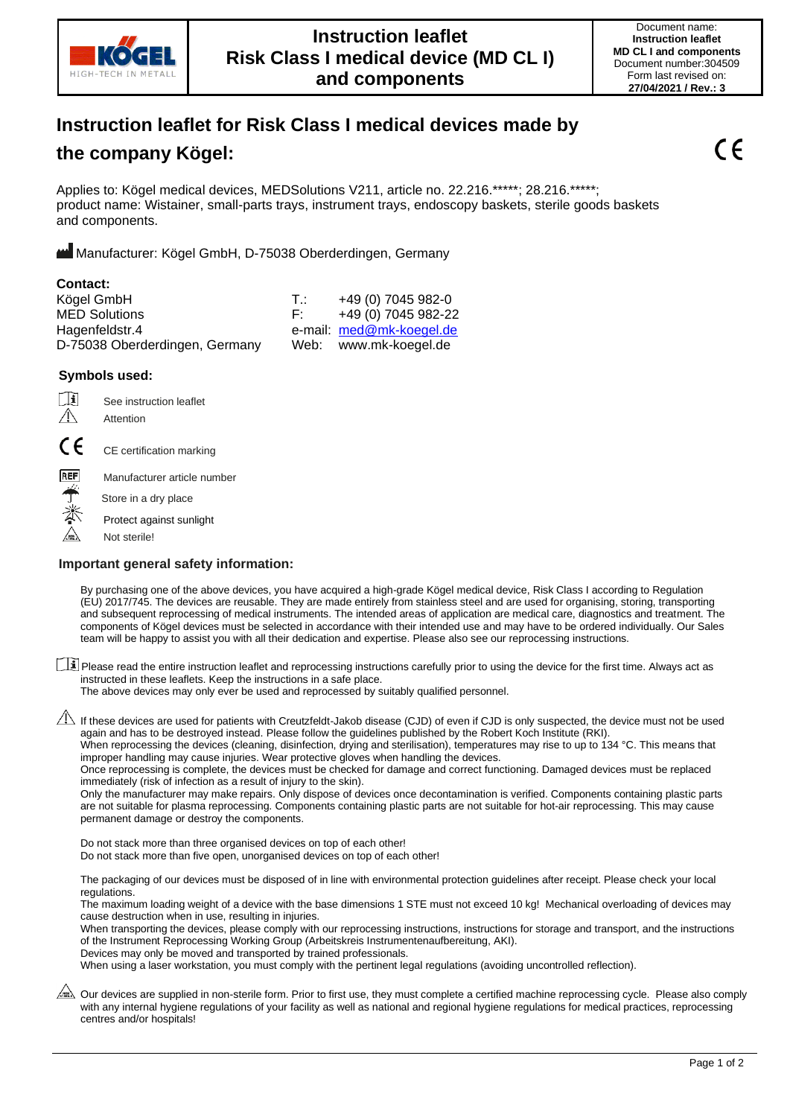

# **Instruction leaflet for Risk Class I medical devices made by**

# **the company Kögel:**

Applies to: Kögel medical devices, MEDSolutions V211, article no. 22.216.\*\*\*\*\*; 28.216.\*\*\*\*\*; product name: Wistainer, small-parts trays, instrument trays, endoscopy baskets, sterile goods baskets and components.

Manufacturer: Kögel GmbH, D-75038 Oberderdingen, Germany

| T.: | +49 (0) 7045 982-0       |
|-----|--------------------------|
| F.  | +49 (0) 7045 982-22      |
|     | e-mail: med@mk-koegel.de |
|     | Web: www.mk-koegel.de    |
|     |                          |

### **Symbols used:**

( F

**REF** 

٢lì See instruction leaflet  $\bigwedge$ Attention

CE certification marking

Manufacturer article number

Store in a dry place

Protect against sunlight

Not sterile!

### **Important general safety information:**

By purchasing one of the above devices, you have acquired a high-grade Kögel medical device, Risk Class I according to Regulation (EU) 2017/745. The devices are reusable. They are made entirely from stainless steel and are used for organising, storing, transporting and subsequent reprocessing of medical instruments. The intended areas of application are medical care, diagnostics and treatment. The components of Kögel devices must be selected in accordance with their intended use and may have to be ordered individually. Our Sales team will be happy to assist you with all their dedication and expertise. Please also see our reprocessing instructions.

Please read the entire instruction leaflet and reprocessing instructions carefully prior to using the device for the first time. Always act as instructed in these leaflets. Keep the instructions in a safe place.

The above devices may only ever be used and reprocessed by suitably qualified personnel.

 $\triangle$  If these devices are used for patients with Creutzfeldt-Jakob disease (CJD) of even if CJD is only suspected, the device must not be used again and has to be destroyed instead. Please follow the guidelines published by the Robert Koch Institute (RKI).

When reprocessing the devices (cleaning, disinfection, drying and sterilisation), temperatures may rise to up to 134 °C. This means that improper handling may cause injuries. Wear protective gloves when handling the devices.

Once reprocessing is complete, the devices must be checked for damage and correct functioning. Damaged devices must be replaced immediately (risk of infection as a result of injury to the skin).

Only the manufacturer may make repairs. Only dispose of devices once decontamination is verified. Components containing plastic parts are not suitable for plasma reprocessing. Components containing plastic parts are not suitable for hot-air reprocessing. This may cause permanent damage or destroy the components.

Do not stack more than three organised devices on top of each other! Do not stack more than five open, unorganised devices on top of each other!

The packaging of our devices must be disposed of in line with environmental protection guidelines after receipt. Please check your local regulations.

The maximum loading weight of a device with the base dimensions 1 STE must not exceed 10 kg! Mechanical overloading of devices may cause destruction when in use, resulting in injuries.

When transporting the devices, please comply with our reprocessing instructions, instructions for storage and transport, and the instructions of the Instrument Reprocessing Working Group (Arbeitskreis Instrumentenaufbereitung, AKI).

Devices may only be moved and transported by trained professionals.

When using a laser workstation, you must comply with the pertinent legal regulations (avoiding uncontrolled reflection).

Our devices are supplied in non-sterile form. Prior to first use, they must complete a certified machine reprocessing cycle. Please also comply with any internal hygiene regulations of your facility as well as national and regional hygiene regulations for medical practices, reprocessing centres and/or hospitals!